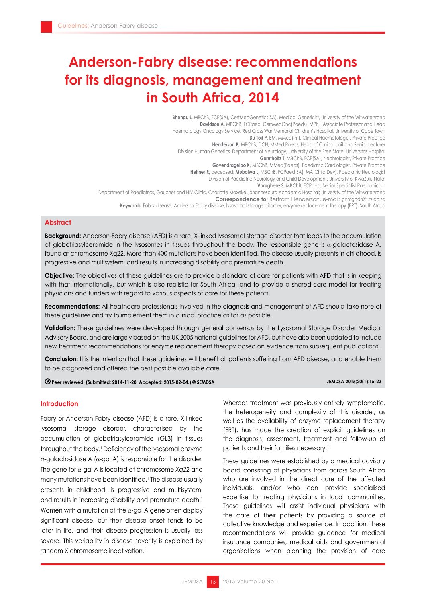# **Anderson-Fabry disease: recommendations for its diagnosis, management and treatment in South Africa, 2014**

**Bhengu L,** MBChB, FCP(SA), CertMedGenetics(SA), Medical Geneticist, University of the Witwatersrand **Davidson A,** MBChB, FCPaed, CertMedOnc(Paeds), MPhil, Associate Professor and Head Haematology Oncology Service, Red Cross War Memorial Children's Hospital, University of Cape Town **Du Toit P,** BM, MMed(Int), Clinical Haematologist, Private Practice **Henderson B,** MBChB, DCH, MMed Paeds, Head of Clinical Unit and Senior Lecturer Division Human Genetics, Department of Neurology, University of the Free State; Universitas Hospital **Gerntholtz T,** MBChB, FCP(SA), Nephrologist, Private Practice **Govendrageloo K,** MBChB, MMed(Paeds), Paediatric Cardiologist, Private Practice **Heitner R,** deceased; **Mubaiwa L,** MBChB, FCPaed(SA), MA(Child Dev), Paediatric Neurologist Division of Paediatric Neurology and Child Development, University of KwaZulu-Natal **Varughese S,** MBChB, FCPaed, Senior Specialist Paediatrician Department of Paediatrics, Gaucher and HIV Clinic, Charlotte Maxeke Johannesburg Academic Hospital; University of the Witwatersrand **Correspondence to: Bertram Henderson, e-mail: anmabdh@ufs.ac.za Keywords:** Fabry disease, Anderson-Fabry disease, lysosomal storage disorder, enzyme replacement therapy (ERT), South Africa

# **Abstract**

**Background:** Anderson-Fabry disease (AFD) is a rare, X-linked lysosomal storage disorder that leads to the accumulation of globotriasylceramide in the lysosomes in tissues throughout the body. The responsible gene is  $\alpha$ -galactosidase A, found at chromosome Xq22. More than 400 mutations have been identified. The disease usually presents in childhood, is progressive and multisystem, and results in increasing disability and premature death.

**Objective:** The objectives of these guidelines are to provide a standard of care for patients with AFD that is in keeping with that internationally, but which is also realistic for South Africa, and to provide a shared-care model for treating physicians and funders with regard to various aspects of care for these patients.

**Recommendations:** All heathcare professionals involved in the diagnosis and management of AFD should take note of these guidelines and try to implement them in clinical practice as far as possible.

**Validation:** These guidelines were developed through general consensus by the Lysosomal Storage Disorder Medical Advisory Board, and are largely based on the UK 2005 national guidelines for AFD, but have also been updated to include new treatment recommendations for enzyme replacement therapy based on evidence from subsequent publications.

**Conclusion:** It is the intention that these guidelines will benefit all patients suffering from AFD disease, and enable them to be diagnosed and offered the best possible available care.

# **Peer reviewed. (Submitted: 2014-11-20. Accepted: 2015-02-04.) © SEMDSA JEMDSA 2015;20(1):15-23**

# **Introduction**

Fabry or Anderson-Fabry disease (AFD) is a rare, X-linked lysosomal storage disorder, characterised by the accumulation of globotriasylceramide (GL3) in tissues throughout the body.1 Deficiency of the lysosomal enzyme α-galactosidase A (α-gal A) is responsible for the disorder. The gene for α-gal A is located at chromosome *Xq22* and many mutations have been identified.<sup>1</sup> The disease usually presents in childhood, is progressive and multisystem, and results in increasing disability and premature death.<sup>1</sup> Women with a mutation of the  $\alpha$ -gal A gene often display significant disease, but their disease onset tends to be later in life, and their disease progression is usually less severe. This variability in disease severity is explained by random X chromosome inactivation.<sup>1</sup>

Whereas treatment was previously entirely symptomatic, the heterogeneity and complexity of this disorder, as well as the availability of enzyme replacement therapy (ERT), has made the creation of explicit guidelines on the diagnosis, assessment, treatment and follow-up of patients and their families necessary.<sup>1</sup>

These guidelines were established by a medical advisory board consisting of physicians from across South Africa who are involved in the direct care of the affected individuals, and/or who can provide specialised expertise to treating physicians in local communities. These guidelines will assist individual physicians with the care of their patients by providing a source of collective knowledge and experience. In addition, these recommendations will provide guidance for medical insurance companies, medical aids and governmental organisations when planning the provision of care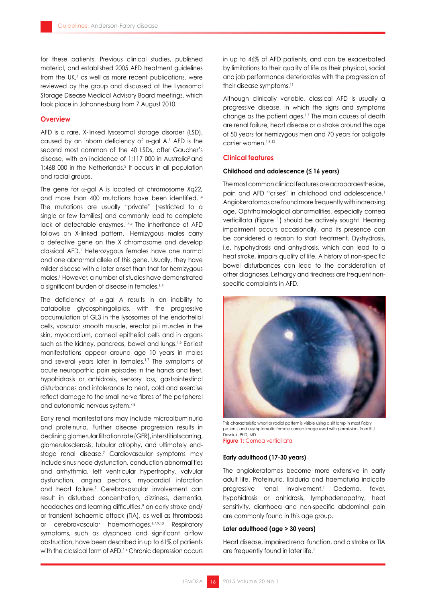for these patients. Previous clinical studies, published material, and established 2005 AFD treatment guidelines from the UK,1 as well as more recent publications, were reviewed by the group and discussed at the Lysosomal Storage Disease Medical Advisory Board meetings, which took place in Johannesburg from 7 August 2010.

# **Overview**

AFD is a rare, X-linked lysosomal storage disorder (LSD), caused by an inborn deficiency of  $\alpha$ -gal A.' AFD is the second most common of the 40 LSDs, after Gaucher's disease, with an incidence of 1:117 000 in Australia2 and 1:468 000 in the Netherlands.<sup>3</sup> It occurs in all population and racial groups.<sup>1</sup>

The gene for α-gal A is located at chromosome *Xq22,* and more than 400 mutations have been identified.<sup>1,4</sup> The mutations are usually "private" (restricted to a single or few families) and commonly lead to complete lack of detectable enzymes.<sup>1,4,5</sup> The inheritance of AFD follows an X-linked pattern.<sup>1</sup> Hemizygous males carry a defective gene on the X chromosome and develop classical AFD.1 Heterozygous females have one normal and one abnormal allele of this gene. Usually, they have milder disease with a later onset than that for hemizygous males.1 However, a number of studies have demonstrated a significant burden of disease in females.1,4

The deficiency of  $\alpha$ -gal A results in an inability to catabolise glycosphingolipids, with the progressive accumulation of GL3 in the lysosomes of the endothelial cells, vascular smooth muscle, erector pili muscles in the skin, myocardium, corneal epithelial cells and in organs such as the kidney, pancreas, bowel and lungs.<sup>1,6</sup> Earliest manifestations appear around age 10 years in males and several years later in females.<sup>1,7</sup> The symptoms of acute neuropathic pain episodes in the hands and feet, hypohidrosis or anhidrosis, sensory loss, gastrointestinal disturbances and intolerance to heat, cold and exercise reflect damage to the small nerve fibres of the peripheral and autonomic nervous system.7,8

Early renal manifestations may include microalbuminuria and proteinuria. Further disease progression results in declining glomerular filtration rate (GFR), interstitial scarring, glomerulosclerosis, tubular atrophy, and ultimately endstage renal disease.7 Cardiovascular symptoms may include sinus node dysfunction, conduction abnormalities and arrhythmia, left ventricular hypertrophy, valvular dysfunction, angina pectoris, myocardial infarction and heart failure.7 Cerebrovascular involvement can result in disturbed concentration, dizziness, dementia, headaches and learning difficulties,<sup>9</sup> an early stroke and/ or transient ischaemic attack (TIA), as well as thrombosis or cerebrovascular haemorrhages.<sup>1,7,9,10</sup> Respiratory symptoms, such as dyspnoea and significant airflow obstruction, have been described in up to 61% of patients with the classical form of AFD.<sup>1,4</sup> Chronic depression occurs in up to 46% of AFD patients, and can be exacerbated by limitations to their quality of life as their physical, social and job performance deteriorates with the progression of their disease symptoms.11

Although clinically variable, classical AFD is usually a progressive disease, in which the signs and symptoms change as the patient ages.1,7 The main causes of death are renal failure, heart disease or a stroke around the age of 50 years for hemizygous men and 70 years for obligate carrier women.<sup>1,9,12</sup>

#### **Clinical features**

# **Childhood and adolescence (≤ 16 years)**

The most common clinical features are acroparaesthesiae, pain and AFD "crises" in childhood and adolescence.<sup>1</sup> Angiokeratomas are found more frequently with increasing age. Ophthalmological abnormalities, especially cornea verticillata (Figure 1) should be actively sought. Hearing impairment occurs occasionally, and its presence can be considered a reason to start treatment. Dyshydrosis, i.e. hypohydrosis and anhydrosis, which can lead to a heat stroke, impairs quality of life. A history of non-specific bowel disturbances can lead to the consideration of other diagnoses. Lethargy and tiredness are frequent nonspecific complaints in AFD.



This characteristic whorl or radial pattern is visible using a slit lamp in most Fabry patients and asymptomatic female carriers.Image used with permission, from R.J. Desnick, PhD, MD **Figure 1: Cornea verticillata** 

# **Early adulthood (17-30 years)**

The angiokeratomas become more extensive in early adult life. Proteinuria, lipiduria and haematuria indicate progressive renal involvement.1 Oedema, fever, hypohidrosis or anhidrosis, lymphadenopathy, heat sensitivity, diarrhoea and non-specific abdominal pain are commonly found in this age group.

# **Later adulthood (age > 30 years)**

Heart disease, impaired renal function, and a stroke or TIA are frequently found in later life.<sup>1</sup>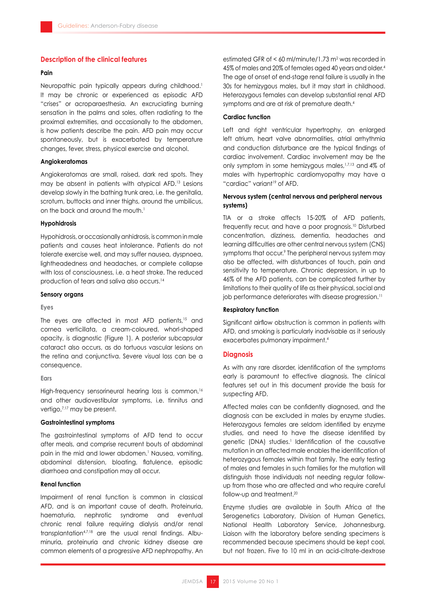# **Description of the clinical features**

# **Pain**

Neuropathic pain typically appears during childhood.<sup>1</sup> It may be chronic or experienced as episodic AFD "crises" or acroparaesthesia. An excruciating burning sensation in the palms and soles, often radiating to the proximal extremities, and occasionally to the abdomen, is how patients describe the pain. AFD pain may occur spontaneously, but is exacerbated by temperature changes, fever, stress, physical exercise and alcohol.

#### **Angiokeratomas**

Angiokeratomas are small, raised, dark red spots. They may be absent in patients with atypical AFD.13 Lesions develop slowly in the bathing trunk area, i.e. the genitalia, scrotum, buttocks and inner thighs, around the umbilicus, on the back and around the mouth.<sup>1</sup>

#### **Hypohidrosis**

Hypohidrosis, or occasionally anhidrosis, is common in male patients and causes heat intolerance. Patients do not tolerate exercise well, and may suffer nausea, dyspnoea, lightheadedness and headaches, or complete collapse with loss of consciousness, i.e. a heat stroke. The reduced production of tears and saliva also occurs.14

# **Sensory organs**

#### **Eyes**

The eyes are affected in most AFD patients,<sup>15</sup> and cornea verticillata, a cream-coloured, whorl-shaped opacity, is diagnostic (Figure 1). A posterior subcapsular cataract also occurs, as do tortuous vascular lesions on the retina and conjunctiva. Severe visual loss can be a consequence.

#### **Ears**

High-frequency sensorineural hearing loss is common,<sup>16</sup> and other audiovestibular symptoms, i.e. tinnitus and vertigo,7,17 may be present.

# **Gastrointestinal symptoms**

The gastrointestinal symptoms of AFD tend to occur after meals, and comprise recurrent bouts of abdominal pain in the mid and lower abdomen.<sup>1</sup> Nausea, vomiting, abdominal distension, bloating, flatulence, episodic diarrhoea and constipation may all occur.

# **Renal function**

Impairment of renal function is common in classical AFD, and is an important cause of death. Proteinuria, haematuria, nephrotic syndrome and eventual chronic renal failure requiring dialysis and/or renal transplantation4,7,18 are the usual renal findings. Albuminuria, proteinuria and chronic kidney disease are common elements of a progressive AFD nephropathy. An

estimated GFR of  $\leq 60$  ml/minute/1.73 m<sup>2</sup> was recorded in 45% of males and 20% of females aged 40 years and older.4 The age of onset of end-stage renal failure is usually in the 30s for hemizygous males, but it may start in childhood. Heterozygous females can develop substantial renal AFD symptoms and are at risk of premature death.4

#### **Cardiac function**

Left and right ventricular hypertrophy, an enlarged left atrium, heart valve abnormalities, atrial arrhythmia and conduction disturbance are the typical findings of cardiac involvement. Cardiac involvement may be the only symptom in some hemizygous males,1,7,13 and 4% of males with hypertrophic cardiomyopathy may have a "cardiac" variant<sup>19</sup> of AFD.

# **Nervous system (central nervous and peripheral nervous systems)**

TIA or a stroke affects 15-20% of AFD patients, frequently recur, and have a poor prognosis.10 Disturbed concentration, dizziness, dementia, headaches and learning difficulties are other central nervous system (CNS) symptoms that occur.<sup>9</sup> The peripheral nervous system may also be affected, with disturbances of touch, pain and sensitivity to temperature. Chronic depression, in up to 46% of the AFD patients, can be complicated further by limitations to their quality of life as their physical, social and job performance deteriorates with disease progression.<sup>11</sup>

# **Respiratory function**

Significant airflow obstruction is common in patients with AFD, and smoking is particularly inadvisable as it seriously exacerbates pulmonary impairment.4

### **Diagnosis**

As with any rare disorder, identification of the symptoms early is paramount to effective diagnosis. The clinical features set out in this document provide the basis for suspecting AFD.

Affected males can be confidently diagnosed, and the diagnosis can be excluded in males by enzyme studies. Heterozygous females are seldom identified by enzyme studies, and need to have the disease identified by genetic (DNA) studies.<sup>1</sup> Identification of the causative mutation in an affected male enables the identification of heterozygous females within that family. The early testing of males and females in such families for the mutation will distinguish those individuals not needing regular followup from those who are affected and who require careful follow-up and treatment.20

Enzyme studies are available in South Africa at the Serogenetics Laboratory, Division of Human Genetics, National Health Laboratory Service, Johannesburg. Liaison with the laboratory before sending specimens is recommended because specimens should be kept cool, but not frozen. Five to 10 ml in an acid-citrate-dextrose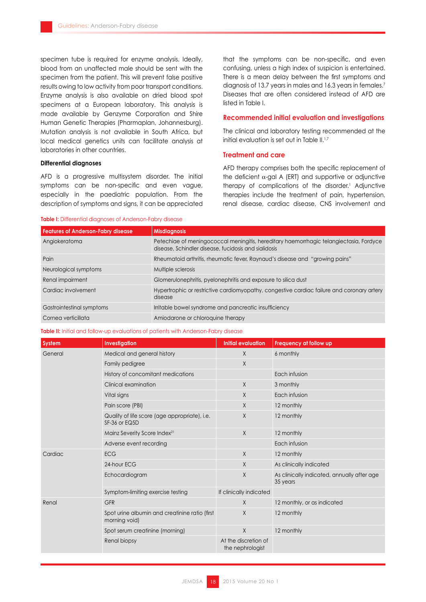specimen tube is required for enzyme analysis. Ideally, blood from an unaffected male should be sent with the specimen from the patient. This will prevent false positive results owing to low activity from poor transport conditions. Enzyme analysis is also available on dried blood spot specimens at a European laboratory. This analysis is made available by Genzyme Corporation and Shire Human Genetic Therapies (Pharmaplan, Johannesburg). Mutation analysis is not available in South Africa, but local medical genetics units can facilitate analysis at laboratories in other countries.

## **Differential diagnoses**

AFD is a progressive multisystem disorder. The initial symptoms can be non-specific and even vague, especially in the paediatric population. From the description of symptoms and signs, it can be appreciated

#### **Table I:** Differential diagnoses of Anderson-Fabry disease

that the symptoms can be non-specific, and even confusing, unless a high index of suspicion is entertained. There is a mean delay between the first symptoms and diagnosis of 13.7 years in males and 16.3 years in females.<sup>7</sup> Diseases that are often considered instead of AFD are listed in Table I.

### **Recommended initial evaluation and investigations**

The clinical and laboratory testing recommended at the initial evaluation is set out in Table II.<sup>1,7</sup>

# **Treatment and care**

AFD therapy comprises both the specific replacement of the deficient  $\alpha$ -gal A (ERT) and supportive or adjunctive therapy of complications of the disorder.<sup>1</sup> Adjunctive therapies include the treatment of pain, hypertension, renal disease, cardiac disease, CNS involvement and

| <b>Features of Anderson-Fabry disease</b> | <b>Misdiagnosis</b>                                                                                                                            |
|-------------------------------------------|------------------------------------------------------------------------------------------------------------------------------------------------|
| Angiokeratoma                             | Petechiae of meningococcal meningitis, hereditary haemorrhagic telangiectasia, Fordyce<br>disease, Schindler disease, fucidosis and siglidosis |
| Pain                                      | Rheumatoid arthritis, rheumatic fever, Raynaud's disease and "growing pains"                                                                   |
| Neurological symptoms                     | Multiple sclerosis                                                                                                                             |
| Renal impairment                          | Glomerulonephritis, pyelonephritis and exposure to silica dust                                                                                 |
| Cardiac involvement                       | Hypertrophic or restrictive cardiomyopathy, congestive cardiac failure and coronary artery<br>disease                                          |
| Gastrointestinal symptoms                 | Irritable bowel syndrome and pancreatic insufficiency                                                                                          |
| Cornea verticillata                       | Amiodarone or chloroquine therapy                                                                                                              |

#### **Table II:** Initial and follow-up evaluations of patients with Anderson-Fabry disease

| System  | Investigation                                                   | <b>Initial evaluation</b>                | Frequency at follow up                                  |
|---------|-----------------------------------------------------------------|------------------------------------------|---------------------------------------------------------|
| General | Medical and general history                                     | $\times$                                 | 6 monthly                                               |
|         | Family pedigree                                                 | $\times$                                 |                                                         |
|         | History of concomitant medications                              |                                          | Each infusion                                           |
|         | Clinical examination                                            | $\chi$                                   | 3 monthly                                               |
|         | Vital signs                                                     | $\chi$                                   | Each infusion                                           |
|         | Pain score (PBI)                                                | $\times$                                 | 12 monthly                                              |
|         | Quality of life score (age appropriate), i.e.<br>SF-36 or EQ5D  | $\times$                                 | 12 monthly                                              |
|         | Mainz Severity Score Index <sup>21</sup>                        | $\times$                                 | 12 monthly                                              |
|         | Adverse event recording                                         |                                          | Each infusion                                           |
| Cardiac | <b>ECG</b>                                                      | $\times$                                 | 12 monthly                                              |
|         | 24-hour ECG                                                     | X                                        | As clinically indicated                                 |
|         | Echocardiogram                                                  | $\times$                                 | As clinically indicated, annually after age<br>35 years |
|         | Symptom-limiting exercise testing                               | If clinically indicated                  |                                                         |
| Renal   | <b>GFR</b>                                                      | $\chi$                                   | 12 monthly, or as indicated                             |
|         | Spot urine albumin and creatinine ratio (first<br>morning void) | X                                        | 12 monthly                                              |
|         | Spot serum creatinine (morning)                                 | $\times$                                 | 12 monthly                                              |
|         | Renal biopsy                                                    | At the discretion of<br>the nephrologist |                                                         |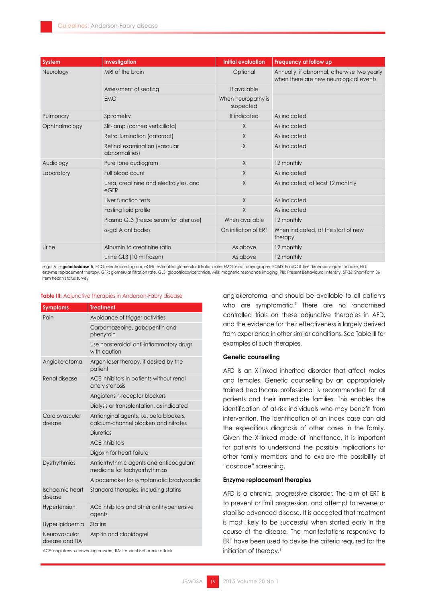| System        | Investigation                                   | <b>Initial evaluation</b>       | Frequency at follow up                                                                |
|---------------|-------------------------------------------------|---------------------------------|---------------------------------------------------------------------------------------|
| Neurology     | MRI of the brain                                | Optional                        | Annually, if abnormal, otherwise two yearly<br>when there are new neurological events |
|               | Assessment of seating                           | If available                    |                                                                                       |
|               | <b>EMG</b>                                      | When neuropathy is<br>suspected |                                                                                       |
| Pulmonary     | Spirometry                                      | If indicated                    | As indicated                                                                          |
| Ophthalmology | Slit-lamp (cornea verticillata)                 | X                               | As indicated                                                                          |
|               | Retroillumination (cataract)                    | X                               | As indicated                                                                          |
|               | Retinal examination (vascular<br>abnormalities) | X                               | As indicated                                                                          |
| Audiology     | Pure tone audiogram                             | X                               | 12 monthly                                                                            |
| Laboratory    | Full blood count                                | X                               | As indicated                                                                          |
|               | Urea, creatinine and electrolytes, and<br>eGFR  | X                               | As indicated, at least 12 monthly                                                     |
|               | Liver function tests                            | X                               | As indicated                                                                          |
|               | Fasting lipid profile                           | X                               | As indicated                                                                          |
|               | Plasma GL3 (freeze serum for later use)         | When available                  | 12 monthly                                                                            |
|               | $\alpha$ -gal A antibodies                      | On initiation of ERT            | When indicated, at the start of new<br>therapy                                        |
| Urine         | Albumin to creatinine ratio                     | As above                        | 12 monthly                                                                            |
|               | Urine GL3 (10 ml frozen)                        | As above                        | 12 monthly                                                                            |

α-gal A: α-galactosidase A, ECG: electrocardiogram, eGFR: estimated glomerular filtration rate, EMG: electromyography, EQ5D: EuroQOL five dimensions questionnaire, ERT: enzyme replacement therapy, GFR: glomerular filtration rate, GL3: globotriaosylceramide, MRI: magnetic resonance imaging, PBI: Present Behavioural Intensity, SF-36: Short-Form 36 item health status survey

#### **Table III:** Adjunctive therapies in Anderson-Fabry disease

| <b>Symptoms</b>                  | <b>Treatment</b>                                                                 |
|----------------------------------|----------------------------------------------------------------------------------|
| Pain                             | Avoidance of trigger activities                                                  |
|                                  | Carbamazepine, gabapentin and<br>phenytoin                                       |
|                                  | Use nonsteroidal anti-inflammatory drugs<br>with caution                         |
| Angiokeratoma                    | Argon laser therapy, if desired by the<br>patient                                |
| Renal disease                    | ACE inhibitors in patients without renal<br>artery stenosis                      |
|                                  | Angiotensin-receptor blockers                                                    |
|                                  | Dialysis or transplantation, as indicated                                        |
| Cardiovascular<br>disease        | Antianginal agents, i.e. beta blockers,<br>calcium-channel blockers and nitrates |
|                                  | <b>Diuretics</b>                                                                 |
|                                  | <b>ACE</b> inhibitors                                                            |
|                                  | Digoxin for heart failure                                                        |
| Dysrhythmias                     | Antiarrhythmic agents and anticoagulant<br>medicine for tachyarrhythmias         |
|                                  | A pacemaker for symptomatic bradycardia                                          |
| Ischaemic heart<br>disease       | Standard therapies, including statins                                            |
| Hypertension                     | ACE inhibitors and other antihypertensive<br>agents                              |
| Hyperlipidaemia                  | Statins                                                                          |
| Neurovascular<br>disease and TIA | Aspirin and clopidogrel                                                          |

ACE: angiotensin-converting enzyme, TIA: transient ischaemic attack

angiokeratoma, and should be available to all patients who are symptomatic.7 There are no randomised controlled trials on these adjunctive therapies in AFD, and the evidence for their effectiveness is largely derived from experience in other similar conditions. See Table III for examples of such therapies.

#### **Genetic counselling**

AFD is an X-linked inherited disorder that affect males and females. Genetic counselling by an appropriately trained healthcare professional is recommended for all patients and their immediate families. This enables the identification of at-risk individuals who may benefit from intervention. The identification of an index case can aid the expeditious diagnosis of other cases in the family. Given the X-linked mode of inheritance, it is important for patients to understand the possible implications for other family members and to explore the possibility of "cascade" screening.

# **Enzyme replacement therapies**

AFD is a chronic, progressive disorder. The aim of ERT is to prevent or limit progression, and attempt to reverse or stabilise advanced disease. It is accepted that treatment is most likely to be successful when started early in the course of the disease*.* The manifestations responsive to ERT have been used to devise the criteria required for the initiation of therapy.<sup>1</sup>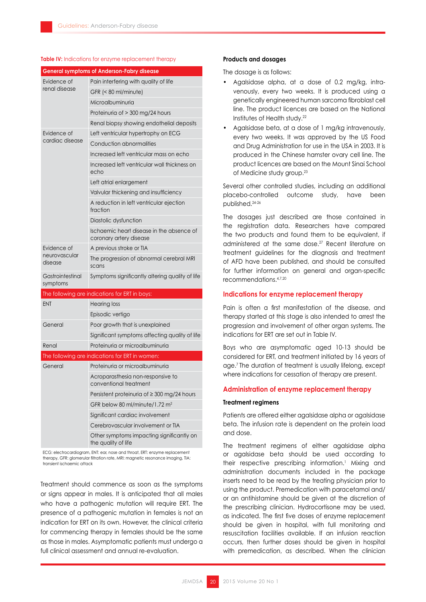#### **Table IV:** Indications for enzyme replacement therapy

| <b>General symptoms of Anderson-Fabry disease</b> |                                                                      |  |  |
|---------------------------------------------------|----------------------------------------------------------------------|--|--|
| Evidence of<br>renal disease                      | Pain interfering with quality of life                                |  |  |
|                                                   | GFR (< 80 ml/minute)                                                 |  |  |
|                                                   | Microalbuminuria                                                     |  |  |
|                                                   | Proteinuria of > 300 mg/24 hours                                     |  |  |
|                                                   | Renal biopsy showing endothelial deposits                            |  |  |
| Evidence of<br>cardiac disease                    | Left ventricular hypertrophy on ECG                                  |  |  |
|                                                   | Conduction abnormalities                                             |  |  |
|                                                   | Increased left ventricular mass on echo                              |  |  |
|                                                   | Increased left ventricular wall thickness on<br>echo                 |  |  |
|                                                   | Left atrial enlargement                                              |  |  |
|                                                   | Valvular thickening and insufficiency                                |  |  |
|                                                   | A reduction in left ventricular ejection<br>fraction                 |  |  |
|                                                   | Diastolic dysfunction                                                |  |  |
|                                                   | Ischaemic heart disease in the absence of<br>coronary artery disease |  |  |
| Evidence of                                       | A previous stroke or TIA                                             |  |  |
| neurovascular<br>disease                          | The progression of abnormal cerebral MRI<br>scans                    |  |  |
| Gastrointestinal<br>symptoms                      | Symptoms significantly altering quality of life                      |  |  |
|                                                   | The following are indications for ERT in boys:                       |  |  |
| ENT                                               | Hearing loss                                                         |  |  |
|                                                   | Episodic vertigo                                                     |  |  |
| General                                           | Poor growth that is unexplained                                      |  |  |
|                                                   | Significant symptoms affecting quality of life                       |  |  |
| Renal                                             | Proteinuria or microalbuminuria                                      |  |  |
|                                                   | The following are indications for ERT in women:                      |  |  |
| General                                           | Proteinuria or microalbuminuria                                      |  |  |
|                                                   | Acroparasthesia non-responsive to<br>conventional treatment          |  |  |
|                                                   | Persistent proteinuria of $\geq$ 300 mg/24 hours                     |  |  |
|                                                   | GFR below 80 ml/minute/1.72 m <sup>2</sup>                           |  |  |
|                                                   | Significant cardiac involvement                                      |  |  |
|                                                   | Cerebrovascular involvement or TIA                                   |  |  |
|                                                   | Other symptoms impacting significantly on<br>the quality of life     |  |  |

ECG: electrocardiogram, ENT: ear, nose and throat, ERT: enzyme replacement therapy, GFR: glomerular filtration rate, MRI: magnetic resonance imaging, TIA: transient ischaemic attack

Treatment should commence as soon as the symptoms or signs appear in males. It is anticipated that all males who have a pathogenic mutation will require ERT. The presence of a pathogenic mutation in females is not an indication for ERT on its own. However, the clinical criteria for commencing therapy in females should be the same as those in males. Asymptomatic patients must undergo a full clinical assessment and annual re-evaluation.

#### **Products and dosages**

The dosage is as follows:

- Agalsidase alpha, at a dose of 0.2 mg/kg, intravenously, every two weeks. It is produced using a genetically engineered human sarcoma fibroblast cell line. The product licences are based on the National Institutes of Health study.22
- Agalsidase beta, at a dose of 1 mg/kg intravenously, every two weeks. It was approved by the US Food and Drug Administration for use in the USA in 2003. It is produced in the Chinese hamster ovary cell line. The product licences are based on the Mount Sinai School of Medicine study group.23

Several other controlled studies, including an additional placebo-controlled outcome study, have been published.24-26

The dosages just described are those contained in the registration data. Researchers have compared the two products and found them to be equivalent, if administered at the same dose.27 Recent literature on treatment guidelines for the diagnosis and treatment of AFD have been published, and should be consulted for further information on general and organ-specific recommendations.4,7,20

# **Indications for enzyme replacement therapy**

Pain is often a first manifestation of the disease, and therapy started at this stage is also intended to arrest the progression and involvement of other organ systems. The indications for ERT are set out in Table IV.

Boys who are asymptomatic aged 10-13 should be considered for ERT, and treatment initiated by 16 years of age.7 The duration of treatment is usually lifelong, except where indications for cessation of therapy are present.

# **Administration of enzyme replacement therapy**

#### **Treatment regimens**

Patients are offered either agalsidase alpha or agalsidase beta. The infusion rate is dependent on the protein load and dose.

The treatment regimens of either agalsidase alpha or agalsidase beta should be used according to their respective prescribing information.<sup>1</sup> Mixing and administration documents included in the package inserts need to be read by the treating physician prior to using the product. Premedication with paracetamol and/ or an antihistamine should be given at the discretion of the prescribing clinician. Hydrocortisone may be used, as indicated. The first five doses of enzyme replacement should be given in hospital, with full monitoring and resuscitation facilities available. If an infusion reaction occurs, then further doses should be given in hospital with premedication, as described. When the clinician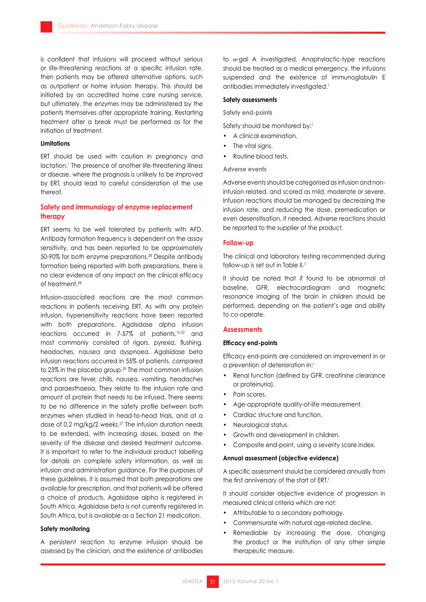is confident that infusions will proceed without serious or life-threatening reactions at a specific infusion rate, then patients may be offered alternative options, such as outpatient or home infusion therapy. This should be initiated by an accredited home care nursing service, but ultimately, the enzymes may be administered by the patients themselves after appropriate training. Restarting treatment after a break must be performed as for the initiation of treatment.

#### **Limitations**

ERT should be used with caution in pregnancy and lactation.1 The presence of another life-threatening illness or disease, where the prognosis is unlikely to be improved by ERT, should lead to careful consideration of the use thereof.

# **Safety and immunology of enzyme replacement therapy**

ERT seems to be well tolerated by patients with AFD. Antibody formation frequency is dependent on the assay sensitivity, and has been reported to be approximately 50-90% for both enzyme preparations.28 Despite antibody formation being reported with both preparations, there is no clear evidence of any impact on the clinical efficacy of treatment.28

Infusion-associated reactions are the most common reactions in patients receiving ERT. As with any protein infusion, hypersensitivity reactions have been reported with both preparations. Agalsidase alpha infusion reactions occurred in 7-57% of patients,<sup>16,22</sup> and most commonly consisted of rigors, pyrexia, flushing, headaches, nausea and dyspnoea. Agalsidase beta infusion reactions occurred in 55% of patients, compared to 23% in the placebo group.29 The most common infusion reactions are fever, chills, nausea, vomiting, headaches and paraesthaesia. They relate to the infusion rate and amount of protein that needs to be infused. There seems to be no difference in the safety profile between both enzymes when studied in head-to-head trials, and at a dose of 0.2 mg/kg/2 weeks.27 The infusion duration needs to be extended, with increasing doses, based on the severity of the disease and desired treatment outcome. It is important to refer to the individual product labelling for details on complete safety information, as well as infusion and administration guidance. For the purposes of these guidelines, it is assumed that both preparations are available for prescription, and that patients will be offered a choice of products. Agalsidase alpha is registered in South Africa. Agalsidase beta is not currently registered in South Africa, but is available as a Section 21 medication.

# **Safety monitoring**

A persistent reaction to enzyme infusion should be assessed by the clinician, and the existence of antibodies to α-gal A investigated. Anaphylactic-type reactions should be treated as a medical emergency, the infusions suspended and the existence of immunoglobulin E antibodies immediately investigated.<sup>1</sup>

#### **Safety assessments**

**Safety end-points**

Safety should be monitored by:<sup>1</sup>

- A clinical examination.
- The vital signs.
- Routine blood tests.

**Adverse events**

Adverse events should be categorised as infusion and noninfusion related, and scored as mild, moderate or severe. Infusion reactions should be managed by decreasing the infusion rate, and reducing the dose, premedication or even desensitisation, if needed. Adverse reactions should be reported to the supplier of the product.

#### **Follow-up**

The clinical and laboratory testing recommended during follow-up is set out in Table II.<sup>1</sup>

It should be noted that if found to be abnormal at baseline, GFR, electrocardiogram and magnetic resonance imaging of the brain in children should be performed, depending on the patient's age and ability to co-operate.

#### **Assessments**

#### **Efficacy end-points**

Efficacy end-points are considered an improvement in or a prevention of deterioration in:<sup>1</sup>

- Renal function (defined by GFR, creatinine clearance or proteinuria).
- Pain scores.
- Age-appropriate quality-of-life measurement.
- Cardiac structure and function.
- Neurological status.
- Growth and development in children.
- Composite end-point, using a severity score index.

#### **Annual assessment (objective evidence)**

A specific assessment should be considered annually from the first anniversary of the start of ERT.<sup>1</sup>

It should consider objective evidence of progression in measured clinical criteria which are not:

- Attributable to a secondary pathology.
- Commensurate with natural age-related decline.
- Remediable by increasing the dose, changing the product or the institution of any other simple therapeutic measure.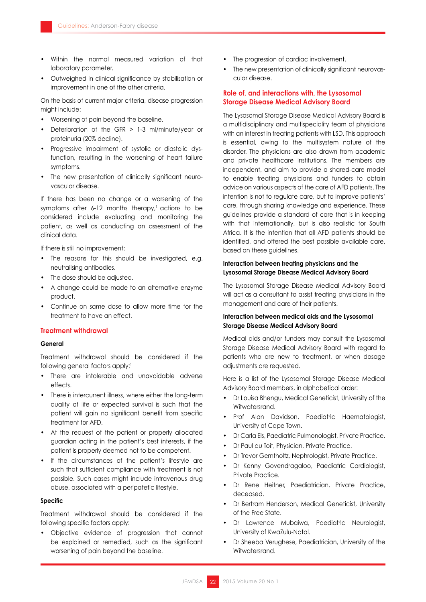- Within the normal measured variation of that laboratory parameter.
- Outweighed in clinical significance by stabilisation or improvement in one of the other criteria.

On the basis of current major criteria, disease progression might include:

- Worsening of pain beyond the baseline.
- Deterioration of the GFR > 1-3 ml/minute/year or proteinuria (20% decline).
- Progressive impairment of systolic or diastolic dysfunction, resulting in the worsening of heart failure symptoms.
- The new presentation of clinically significant neurovascular disease.

If there has been no change or a worsening of the symptoms after 6-12 months therapy,<sup>1</sup> actions to be considered include evaluating and monitoring the patient, as well as conducting an assessment of the clinical data.

If there is still no improvement:

- The reasons for this should be investigated, e.g. neutralising antibodies.
- The dose should be adjusted.
- A change could be made to an alternative enzyme product.
- Continue on same dose to allow more time for the treatment to have an effect.

# **Treatment withdrawal**

# **General**

Treatment withdrawal should be considered if the following general factors apply:<sup>1</sup>

- There are intolerable and unavoidable adverse effects.
- There is intercurrent illness, where either the long-term quality of life or expected survival is such that the patient will gain no significant benefit from specific treatment for AFD.
- At the request of the patient or properly allocated guardian acting in the patient's best interests, if the patient is properly deemed not to be competent.
- If the circumstances of the patient's lifestyle are such that sufficient compliance with treatment is not possible. Such cases might include intravenous drug abuse, associated with a peripatetic lifestyle.

#### **Specific**

Treatment withdrawal should be considered if the following specific factors apply:

• Objective evidence of progression that cannot be explained or remedied, such as the significant worsening of pain beyond the baseline.

- The progression of cardiac involvement.
- The new presentation of clinically significant neurovascular disease.

# **Role of, and interactions with, the Lysosomal Storage Disease Medical Advisory Board**

The Lysosomal Storage Disease Medical Advisory Board is a multidisciplinary and multispeciality team of physicians with an interest in treating patients with LSD. This approach is essential, owing to the multisystem nature of the disorder. The physicians are also drawn from academic and private healthcare institutions. The members are independent, and aim to provide a shared-care model to enable treating physicians and funders to obtain advice on various aspects of the care of AFD patients. The intention is not to regulate care, but to improve patients' care, through sharing knowledge and experience. These guidelines provide a standard of care that is in keeping with that internationally, but is also realistic for South Africa. It is the intention that all AFD patients should be identified, and offered the best possible available care, based on these guidelines.

# **Interaction between treating physicians and the Lysosomal Storage Disease Medical Advisory Board**

The Lysosomal Storage Disease Medical Advisory Board will act as a consultant to assist treating physicians in the management and care of their patients.

# **Interaction between medical aids and the Lysosomal Storage Disease Medical Advisory Board**

Medical aids and/or funders may consult the Lysosomal Storage Disease Medical Advisory Board with regard to patients who are new to treatment, or when dosage adjustments are requested.

Here is a list of the Lysosomal Storage Disease Medical Advisory Board members, in alphabetical order:

- Dr Louisa Bhengu, Medical Geneticist, University of the Witwatersrand.
- Prof Alan Davidson, Paediatric Haematologist, University of Cape Town.
- Dr Carla Els, Paediatric Pulmonologist, Private Practice.
- Dr Paul du Toit, Physician, Private Practice.
- Dr Trevor Gerntholtz, Nephrologist, Private Practice.
- Dr Kenny Govendragaloo, Paediatric Cardiologist, Private Practice.
- Dr Rene Heitner, Paediatrician, Private Practice, deceased.
- Dr Bertram Henderson, Medical Geneticist, University of the Free State.
- Dr Lawrence Mubaiwa, Paediatric Neurologist, University of KwaZulu-Natal.
- Dr Sheeba Verughese, Paediatrician, University of the Witwatersrand.